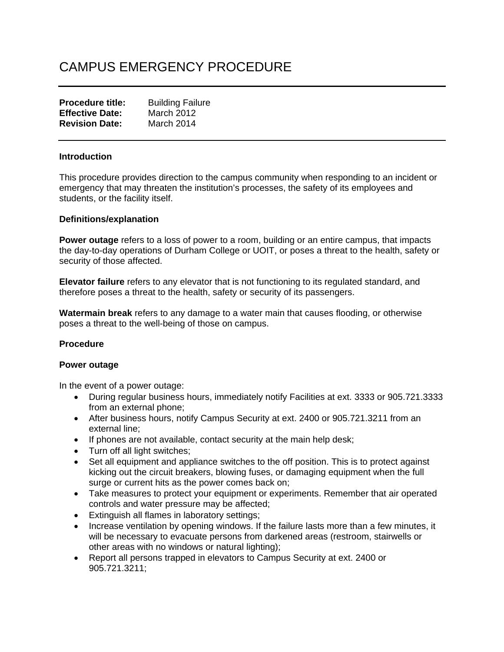# CAMPUS EMERGENCY PROCEDURE

| <b>Procedure title:</b> | <b>Building Failure</b> |
|-------------------------|-------------------------|
| <b>Effective Date:</b>  | March 2012              |
| <b>Revision Date:</b>   | March 2014              |

### **Introduction**

This procedure provides direction to the campus community when responding to an incident or emergency that may threaten the institution's processes, the safety of its employees and students, or the facility itself.

#### **Definitions/explanation**

**Power outage** refers to a loss of power to a room, building or an entire campus, that impacts the day-to-day operations of Durham College or UOIT, or poses a threat to the health, safety or security of those affected.

**Elevator failure** refers to any elevator that is not functioning to its regulated standard, and therefore poses a threat to the health, safety or security of its passengers.

**Watermain break** refers to any damage to a water main that causes flooding, or otherwise poses a threat to the well-being of those on campus.

# **Procedure**

#### **Power outage**

In the event of a power outage:

- During regular business hours, immediately notify Facilities at ext. 3333 or 905.721.3333 from an external phone;
- After business hours, notify Campus Security at ext. 2400 or 905.721.3211 from an external line;
- If phones are not available, contact security at the main help desk;
- Turn off all light switches;
- Set all equipment and appliance switches to the off position. This is to protect against kicking out the circuit breakers, blowing fuses, or damaging equipment when the full surge or current hits as the power comes back on;
- Take measures to protect your equipment or experiments. Remember that air operated controls and water pressure may be affected;
- Extinguish all flames in laboratory settings;
- Increase ventilation by opening windows. If the failure lasts more than a few minutes, it will be necessary to evacuate persons from darkened areas (restroom, stairwells or other areas with no windows or natural lighting);
- Report all persons trapped in elevators to Campus Security at ext. 2400 or 905.721.3211;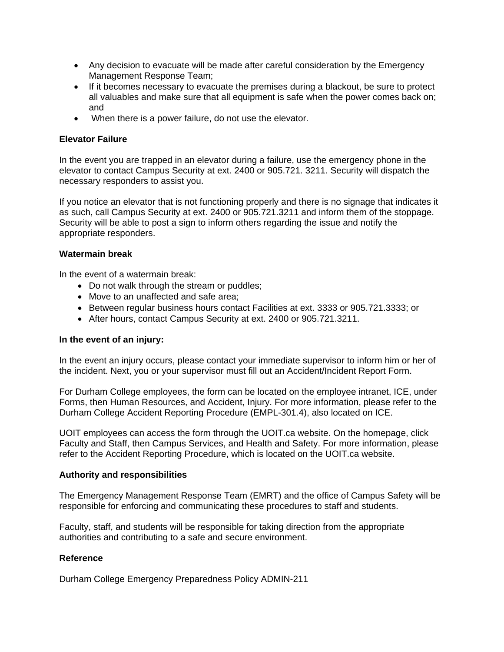- Any decision to evacuate will be made after careful consideration by the Emergency Management Response Team;
- If it becomes necessary to evacuate the premises during a blackout, be sure to protect all valuables and make sure that all equipment is safe when the power comes back on; and
- When there is a power failure, do not use the elevator.

# **Elevator Failure**

In the event you are trapped in an elevator during a failure, use the emergency phone in the elevator to contact Campus Security at ext. 2400 or 905.721. 3211. Security will dispatch the necessary responders to assist you.

If you notice an elevator that is not functioning properly and there is no signage that indicates it as such, call Campus Security at ext. 2400 or 905.721.3211 and inform them of the stoppage. Security will be able to post a sign to inform others regarding the issue and notify the appropriate responders.

# **Watermain break**

In the event of a watermain break:

- Do not walk through the stream or puddles;
- Move to an unaffected and safe area;
- Between regular business hours contact Facilities at ext. 3333 or 905.721.3333; or
- After hours, contact Campus Security at ext. 2400 or 905.721.3211.

# **In the event of an injury:**

In the event an injury occurs, please contact your immediate supervisor to inform him or her of the incident. Next, you or your supervisor must fill out an Accident/Incident Report Form.

For Durham College employees, the form can be located on the employee intranet, ICE, under Forms, then Human Resources, and Accident, Injury. For more information, please refer to the Durham College Accident Reporting Procedure (EMPL-301.4), also located on ICE.

UOIT employees can access the form through the UOIT.ca website. On the homepage, click Faculty and Staff, then Campus Services, and Health and Safety. For more information, please refer to the Accident Reporting Procedure, which is located on the UOIT.ca website.

# **Authority and responsibilities**

The Emergency Management Response Team (EMRT) and the office of Campus Safety will be responsible for enforcing and communicating these procedures to staff and students.

Faculty, staff, and students will be responsible for taking direction from the appropriate authorities and contributing to a safe and secure environment.

# **Reference**

Durham College Emergency Preparedness Policy ADMIN-211